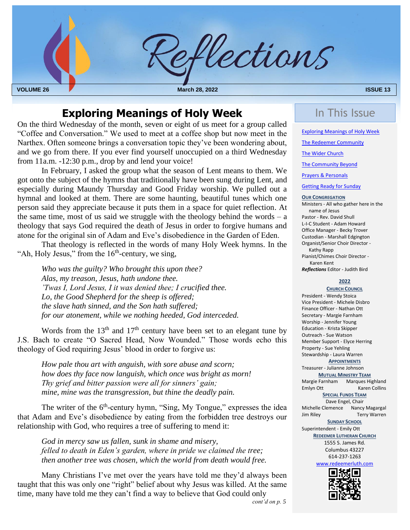

## **Exploring Meanings of Holy Week In This Issue**

 On the third Wednesday of the month, seven or eight of us meet for a group called "Coffee and Conversation." We used to meet at a coffee shop but now meet in the Narthex. Often someone brings a conversation topic they've been wondering about, and we go from there. If you ever find yourself unoccupied on a third Wednesday from 11a.m. -12:30 p.m., drop by and lend your voice!

In February, I asked the group what the season of Lent means to them. We got onto the subject of the hymns that traditionally have been sung during Lent, and especially during Maundy Thursday and Good Friday worship. We pulled out a hymnal and looked at them. There are some haunting, beautiful tunes which one person said they appreciate because it puts them in a space for quiet reflection. At the same time, most of us said we struggle with the theology behind the words  $- a$ theology that says God required the death of Jesus in order to forgive humans and atone for the original sin of Adam and Eve's disobedience in the Garden of Eden.

That theology is reflected in the words of many Holy Week hymns. In the "Ah, Holy Jesus," from the  $16<sup>th</sup>$ -century, we sing,

 *for our atonement, while we nothing heeded, God interceded. Who was the guilty? Who brought this upon thee? Alas, my treason, Jesus, hath undone thee. 'Twas I, Lord Jesus, I it was denied thee; I crucified thee. Lo, the Good Shepherd for the sheep is offered; the slave hath sinned, and the Son hath suffered;*

Words from the  $13<sup>th</sup>$  and  $17<sup>th</sup>$  century have been set to an elegant tune by J.S. Bach to create "O Sacred Head, Now Wounded." Those words echo this theology of God requiring Jesus' blood in order to forgive us:

*How pale thou art with anguish, with sore abuse and scorn; how does thy face now languish, which once was bright as morn! Thy grief and bitter passion were all for sinners' gain; mine, mine was the transgression, but thine the deadly pain.*

The writer of the  $6<sup>th</sup>$ -century hymn, "Sing, My Tongue," expresses the idea that Adam and Eve's disobedience by eating from the forbidden tree destroys our relationship with God, who requires a tree of suffering to mend it:

*God in mercy saw us fallen, sunk in shame and misery, felled to death in Eden's garden, where in pride we claimed the tree; then another tree was chosen, which the world from death would free.*

<span id="page-0-0"></span>Many Christians I've met over the years have told me they'd always been taught that this was only one "right" belief about why Jesus was killed. At the same time, many have told me they can't find a way to believe that God could only *cont'd on p. 5*

Exploring Meanings of Holy Week

[The Redeemer Community](#page-1-0)

[The Wider Church](#page-5-0)

[The Community Beyond](#page-5-0)

[Prayers & Personals](#page-5-1)

[Getting Ready for Sunday](#page-0-0)

#### **OUR CONGREGATION**

Ministers - All who gather here in the name of Jesus Pastor - Rev. David Shull L-I-C Student - Adam Howard Office Manager - Becky Trover Custodian - Marshall Edgington Organist/Senior Choir Director - Kathy Rapp Pianist/Chimes Choir Director - Karen Kent *Reflections* Editor - Judith Bird

**2022**

**CHURCH COUNCIL** President - Wendy Stoica Vice President - Michele Disbro Finance Officer - Nathan Ott Secretary - Margie Farnham Worship - Jennifer Young Education - Krista Skipper Outreach - Sue Watson Member Support - Elyce Herring Property - Sue Yehling Stewardship - Laura Warren **APPOINTMENTS** Treasurer - Julianne Johnson **MUTUAL MINISTRY TEAM** Margie Farnham Marques Highland Emlyn Ott Karen Collins **SPECIAL FUNDS TEAM** Dave Engel, Chair Michelle Clemence Nancy Magargal Jim Riley Terry Warren **SUNDAY SCHOOL** Superintendent - Emily Ott **REDEEMER LUTHERAN CHURCH** 1555 S. James Rd. Columbus 43227 614-237-1263 [www.redeemerluth.com](http://www.redeemerluth.com/) 同规。  $\blacksquare$ 

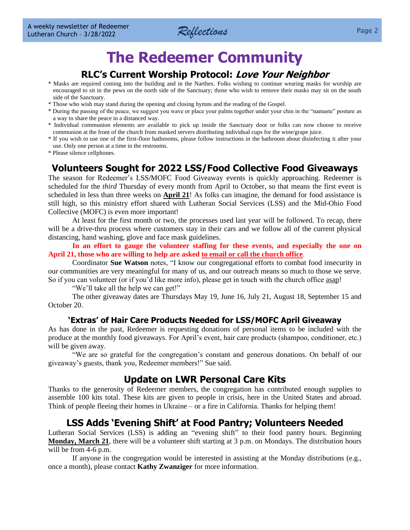

## **The Redeemer Community**

## **RLC's Current Worship Protocol: Love Your Neighbor**

- <span id="page-1-0"></span>\* Masks are required coming into the building and in the Narthex. Folks wishing to continue wearing masks for worship are encouraged to sit in the pews on the north side of the Sanctuary; those who wish to remove their masks may sit on the south side of the Sanctuary.
- \* Those who wish may stand during the opening and closing hymns and the reading of the Gospel.
- \* During the passing of the peace, we suggest you wave or place your palms together under your chin in the "namaste" posture as a way to share the peace in a distanced way.
- \* Individual communion elements are available to pick up inside the Sanctuary door or folks can now choose to receive communion at the front of the church from masked servers distributing individual cups for the wine/grape juice.
- \* If you wish to use one of the first-floor bathrooms, please follow instructions in the bathroom about disinfecting it after your use. Only one person at a time in the restrooms.
- \* Please silence cellphones.

## **Volunteers Sought for 2022 LSS/Food Collective Food Giveaways**

The season for Redeemer's LSS/MOFC Food Giveaway events is quickly approaching. Redeemer is scheduled for the *third* Thursday of every month from April to October, so that means the first event is scheduled in less than three weeks on **April 21**! As folks can imagine, the demand for food assistance is still high, so this ministry effort shared with Lutheran Social Services (LSS) and the Mid-Ohio Food Collective (MOFC) is even more important!

At least for the first month or two, the processes used last year will be followed. To recap, there will be a drive-thru process where customers stay in their cars and we follow all of the current physical distancing, hand washing, glove and face mask guidelines.

**In an effort to gauge the volunteer staffing for these events, and especially the one on April 21, those who are willing to help are asked to email or call the church office**.

Coordinator **Sue Watson** notes, "I know our congregational efforts to combat food insecurity in our communities are very meaningful for many of us, and our outreach means so much to those we serve. So if you can volunteer (or if you'd like more info), please get in touch with the church office asap!

"We'll take all the help we can get!"

The other giveaway dates are Thursdays May 19, June 16, July 21, August 18, September 15 and October 20.

#### **'Extras' of Hair Care Products Needed for LSS/MOFC April Giveaway**

As has done in the past, Redeemer is requesting donations of personal items to be included with the produce at the monthly food giveaways. For April's event, hair care products (shampoo, conditioner, etc.) will be given away.

"We are so grateful for the congregation's constant and generous donations. On behalf of our giveaway's guests, thank you, Redeemer members!" Sue said.

## **Update on LWR Personal Care Kits**

Thanks to the generosity of Redeemer members, the congregation has contributed enough supplies to assemble 100 kits total. These kits are given to people in crisis, here in the United States and abroad. Think of people fleeing their homes in Ukraine – or a fire in California. Thanks for helping them!

## **LSS Adds 'Evening Shift' at Food Pantry; Volunteers Needed**

Lutheran Social Services (LSS) is adding an "evening shift" to their food pantry hours. Beginning **Monday, March 21**, there will be a volunteer shift starting at 3 p.m. on Mondays. The distribution hours will be from 4-6 p.m.

If anyone in the congregation would be interested in assisting at the Monday distributions (e.g., once a month), please contact **Kathy Zwanziger** for more information.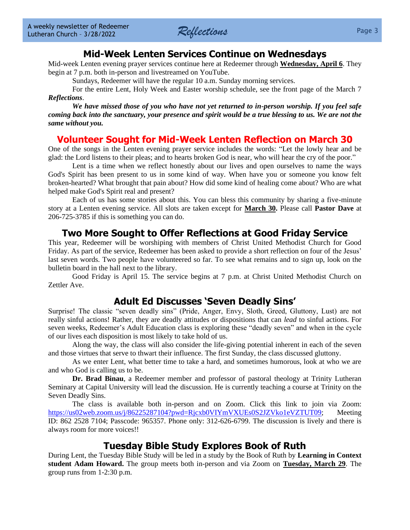

## **Mid-Week Lenten Services Continue on Wednesdays**

Mid-week Lenten evening prayer services continue here at Redeemer through **Wednesday, April 6**. They begin at 7 p.m. both in-person and livestreamed on YouTube.

Sundays, Redeemer will have the regular 10 a.m. Sunday morning services.

For the entire Lent, Holy Week and Easter worship schedule, see the front page of the March 7 *Reflections*.

*We have missed those of you who have not yet returned to in-person worship. If you feel safe coming back into the sanctuary, your presence and spirit would be a true blessing to us. We are not the same without you.*

## **Volunteer Sought for Mid-Week Lenten Reflection on March 30**

One of the songs in the Lenten evening prayer service includes the words: "Let the lowly hear and be glad: the Lord listens to their pleas; and to hearts broken God is near, who will hear the cry of the poor."

Lent is a time when we reflect honestly about our lives and open ourselves to name the ways God's Spirit has been present to us in some kind of way. When have you or someone you know felt broken-hearted? What brought that pain about? How did some kind of healing come about? Who are what helped make God's Spirit real and present?

Each of us has some stories about this. You can bless this community by sharing a five-minute story at a Lenten evening service. All slots are taken except for **March 30.** Please call **Pastor Dave** at 206-725-3785 if this is something you can do.

## **Two More Sought to Offer Reflections at Good Friday Service**

This year, Redeemer will be worshiping with members of Christ United Methodist Church for Good Friday. As part of the service, Redeemer has been asked to provide a short reflection on four of the Jesus' last seven words. Two people have volunteered so far. To see what remains and to sign up, look on the bulletin board in the hall next to the library.

Good Friday is April 15. The service begins at 7 p.m. at Christ United Methodist Church on Zettler Ave.

## **Adult Ed Discusses 'Seven Deadly Sins'**

Surprise! The classic "seven deadly sins" (Pride, Anger, Envy, Sloth, Greed, Gluttony, Lust) are not really sinful actions! Rather, they are deadly attitudes or dispositions that can *lead* to sinful actions. For seven weeks, Redeemer's Adult Education class is exploring these "deadly seven" and when in the cycle of our lives each disposition is most likely to take hold of us.

Along the way, the class will also consider the life-giving potential inherent in each of the seven and those virtues that serve to thwart their influence. The first Sunday, the class discussed gluttony.

As we enter Lent, what better time to take a hard, and sometimes humorous, look at who we are and who God is calling us to be.

**Dr. Brad Binau**, a Redeemer member and professor of pastoral theology at Trinity Lutheran Seminary at Capital University will lead the discussion. He is currently teaching a course at Trinity on the Seven Deadly Sins.

The class is available both in-person and on Zoom. Click this link to join via Zoom: [https://us02web.zoom.us/j/86225287104?pwd=Rjcxb0VIYmVXUEs0S2JZVko1eVZTUT09;](https://us02web.zoom.us/j/86225287104?pwd=Rjcxb0VIYmVXUEs0S2JZVko1eVZTUT09) Meeting ID: 862 2528 7104; Passcode: 965357. Phone only: 312-626-6799. The discussion is lively and there is always room for more voices!!

## **Tuesday Bible Study Explores Book of Ruth**

During Lent, the Tuesday Bible Study will be led in a study by the Book of Ruth by **Learning in Context student Adam Howard.** The group meets both in-person and via Zoom on **Tuesday, March 29**. The group runs from 1-2:30 p.m.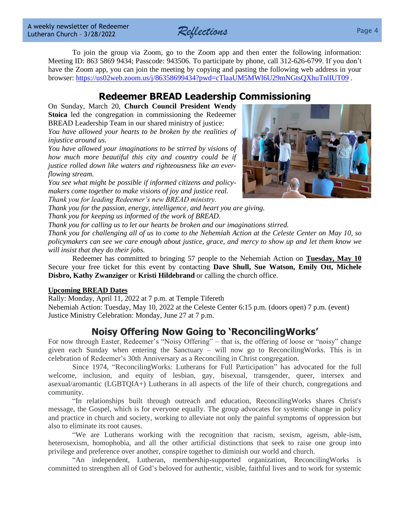*Reflections* Page 4

To join the group via Zoom, go to the Zoom app and then enter the following information: Meeting ID: 863 5869 9434; Passcode: 943506. To participate by phone, call 312-626-6799. If you don't have the Zoom app, you can join the meeting by copying and pasting the following web address in your browser:<https://us02web.zoom.us/j/86358699434?pwd=cTlaaUM5MWl6U29mNGtsQXhuTnlIUT09>.

## **Redeemer BREAD Leadership Commissioning**

On Sunday, March 20, **Church Council President Wendy Stoica** led the congregation in commissioning the Redeemer BREAD Leadership Team in our shared ministry of justice:

*You have allowed your hearts to be broken by the realities of injustice around us.*

*You have allowed your imaginations to be stirred by visions of how much more beautiful this city and country could be if justice rolled down like waters and righteousness like an everflowing stream.*

*You see what might be possible if informed citizens and policymakers come together to make visions of joy and justice real. Thank you for leading Redeemer's new BREAD ministry.*

*Thank you for the passion, energy, intelligence, and heart you are giving. Thank you for keeping us informed of the work of BREAD.*

*Thank you for calling us to let our hearts be broken and our imaginations stirred.*

*Thank you for challenging all of us to come to the Nehemiah Action at the Celeste Center on May 10, so policymakers can see we care enough about justice, grace, and mercy to show up and let them know we will insist that they do their jobs.*

Redeemer has committed to bringing 57 people to the Nehemiah Action on **Tuesday, May 10** Secure your free ticket for this event by contacting **Dave Shull, Sue Watson, Emily Ott, Michele Disbro, Kathy Zwanziger** or **Kristi Hildebrand** or calling the church office.

#### **Upcoming BREAD Dates**

Rally: Monday, April 11, 2022 at 7 p.m. at Temple Tifereth Nehemiah Action: Tuesday, May 10, 2022 at the Celeste Center 6:15 p.m. (doors open) 7 p.m. (event) Justice Ministry Celebration: Monday, June 27 at 7 p.m.

## **Noisy Offering Now Going to 'ReconcilingWorks'**

For now through Easter, Redeemer's "Noisy Offering" – that is, the offering of loose or "noisy" change given each Sunday when entering the Sanctuary – will now go to ReconcilingWorks. This is in celebration of Redeemer's 30th Anniversary as a Reconciling in Christ congregation.

Since 1974, "ReconcilingWorks: Lutherans for Full Participation" has advocated for the full welcome, inclusion, and equity of lesbian, gay, bisexual, transgender, queer, intersex and asexual/aromantic (LGBTQIA+) Lutherans in all aspects of the life of their church, congregations and community.

"In relationships built through outreach and education, ReconcilingWorks shares Christ's message, the Gospel, which is for everyone equally. The group advocates for systemic change in policy and practice in church and society, working to alleviate not only the painful symptoms of oppression but also to eliminate its root causes.

"We are Lutherans working with the recognition that racism, sexism, ageism, able-ism, heterosexism, homophobia, and all the other artificial distinctions that seek to raise one group into privilege and preference over another, conspire together to diminish our world and church.

"An independent, Lutheran, membership-supported organization, ReconcilingWorks is committed to strengthen all of God's beloved for authentic, visible, faithful lives and to work for systemic

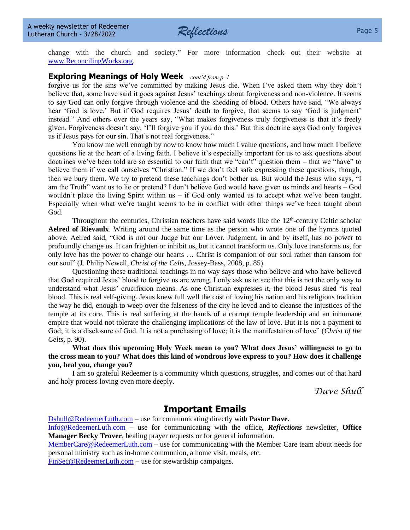

#### **Exploring Meanings of Holy Week** *cont'd from p. 1*

forgive us for the sins we've committed by making Jesus die. When I've asked them why they don't believe that, some have said it goes against Jesus' teachings about forgiveness and non-violence. It seems to say God can only forgive through violence and the shedding of blood. Others have said, "We always hear 'God is love.' But if God requires Jesus' death to forgive, that seems to say 'God is judgment' instead." And others over the years say, "What makes forgiveness truly forgiveness is that it's freely given. Forgiveness doesn't say, 'I'll forgive you if you do this.' But this doctrine says God only forgives us if Jesus pays for our sin. That's not real forgiveness."

You know me well enough by now to know how much I value questions, and how much I believe questions lie at the heart of a living faith. I believe it's especially important for us to ask questions about doctrines we've been told are so essential to our faith that we "can't" question them – that we "have" to believe them if we call ourselves "Christian." If we don't feel safe expressing these questions, though, then we bury them. We try to pretend these teachings don't bother us. But would the Jesus who says, "I am the Truth" want us to lie or pretend? I don't believe God would have given us minds and hearts – God wouldn't place the living Spirit within us – if God only wanted us to accept what we've been taught. Especially when what we're taught seems to be in conflict with other things we've been taught about God.

Throughout the centuries, Christian teachers have said words like the  $12<sup>th</sup>$ -century Celtic scholar **Aelred of Rievaulx**. Writing around the same time as the person who wrote one of the hymns quoted above, Aelred said, "God is not our Judge but our Lover. Judgment, in and by itself, has no power to profoundly change us. It can frighten or inhibit us, but it cannot transform us. Only love transforms us, for only love has the power to change our hearts … Christ is companion of our soul rather than ransom for our soul" (J. Philip Newell, *Christ of the Celts,* Jossey-Bass, 2008, p. 85).

Questioning these traditional teachings in no way says those who believe and who have believed that God required Jesus' blood to forgive us are wrong. I only ask us to see that this is not the only way to understand what Jesus' crucifixion means. As one Christian expresses it, the blood Jesus shed "is real blood. This is real self-giving. Jesus knew full well the cost of loving his nation and his religious tradition the way he did, enough to weep over the falseness of the city he loved and to cleanse the injustices of the temple at its core. This is real suffering at the hands of a corrupt temple leadership and an inhumane empire that would not tolerate the challenging implications of the law of love. But it is not a payment to God; it is a disclosure of God. It is not a purchasing of love; it is the manifestation of love" (*Christ of the Celts,* p. 90).

**What does this upcoming Holy Week mean to you? What does Jesus' willingness to go to the cross mean to you? What does this kind of wondrous love express to you? How does it challenge you, heal you, change you?**

I am so grateful Redeemer is a community which questions, struggles, and comes out of that hard and holy process loving even more deeply.

*Dave Shull*

## **Important Emails**

[Dshull@RedeemerLuth.com](mailto:DShull@RedeemerLuth.com) – use for communicating directly with **Pastor Dave.**

[Info@RedeemerLuth.com](mailto:Info@RedeemerLuth.com) – use for communicating with the office, *Reflections* newsletter, **Office Manager Becky Trover**, healing prayer requests or for general information.

[MemberCare@RedeemerLuth.com](mailto:MemberCare@RedeemerLuth.com) – use for communicating with the Member Care team about needs for personal ministry such as in-home communion, a home visit, meals, etc.

[FinSec@RedeemerLuth.com](mailto:FinSec@RedeemerLuth.com) – use for stewardship campaigns.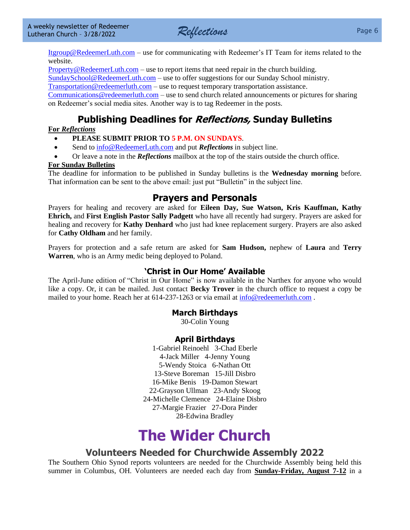

[Itgroup@RedeemerLuth.com](mailto:ITgroup@RedeemerLuth.com) – use for communicating with Redeemer's IT Team for items related to the website.

[Property@RedeemerLuth.com](mailto:Property@RedeemerLuth.com) – use to report items that need repair in the church building.

[SundaySchool@RedeemerLuth.com](mailto:SundaySchool@RedeemerLuth.com) – use to offer suggestions for our Sunday School ministry.

[Transportation@redeemerluth.com](mailto:Transportation@redeemerluth.com) – use to request temporary transportation assistance.

[Communications@redeemerluth.com](mailto:Communications@redeemerluth.com) – use to send church related announcements or pictures for sharing on Redeemer's social media sites. Another way is to tag Redeemer in the posts.

## **Publishing Deadlines for Reflections, Sunday Bulletins**

#### **For** *Reflections*

- **PLEASE SUBMIT PRIOR TO 5 P.M. ON SUNDAYS**.
- Send to  $info@RedeemerLuth.com$  and put *Reflections* in subject line.
- Or leave a note in the *Reflections* mailbox at the top of the stairs outside the church office.

#### **For Sunday Bulletins**

The deadline for information to be published in Sunday bulletins is the **Wednesday morning** before. That information can be sent to the above email: just put "Bulletin" in the subject line.

### <span id="page-5-1"></span>**Prayers and Personals**

Prayers for healing and recovery are asked for **Eileen Day, Sue Watson, Kris Kauffman, Kathy Ehrich,** and **First English Pastor Sally Padgett** who have all recently had surgery. Prayers are asked for healing and recovery for **Kathy Denhard** who just had knee replacement surgery. Prayers are also asked for **Cathy Oldham** and her family.

Prayers for protection and a safe return are asked for **Sam Hudson,** nephew of **Laura** and **Terry Warren**, who is an Army medic being deployed to Poland.

#### **'Christ in Our Home' Available**

The April-June edition of "Christ in Our Home" is now available in the Narthex for anyone who would like a copy. Or, it can be mailed. Just contact **Becky Trover** in the church office to request a copy be mailed to your home. Reach her at 614-237-1263 or via email at [info@redeemerluth.com](mailto:info@redeemerluth.com) .

#### **March Birthdays**

30-Colin Young

#### **April Birthdays**

1-Gabriel Reinoehl 3-Chad Eberle 4-Jack Miller 4-Jenny Young 5-Wendy Stoica 6-Nathan Ott 13-Steve Boreman 15-Jill Disbro 16-Mike Benis 19-Damon Stewart 22-Grayson Ullman 23-Andy Skoog 24-Michelle Clemence 24-Elaine Disbro 27-Margie Frazier 27-Dora Pinder 28-Edwina Bradley

# **The Wider Church**

### **Volunteers Needed for Churchwide Assembly 2022**

<span id="page-5-0"></span>The Southern Ohio Synod reports volunteers are needed for the Churchwide Assembly being held this summer in Columbus, OH. Volunteers are needed each day from **Sunday-Friday, August 7-12** in a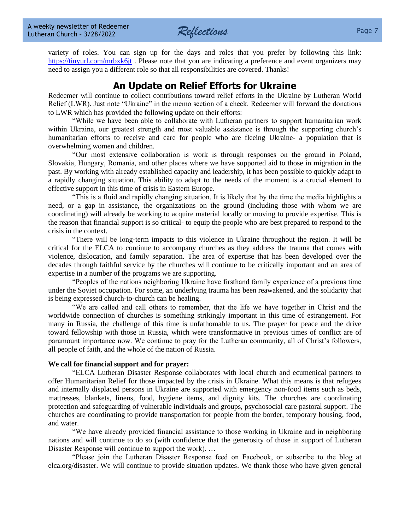

variety of roles. You can sign up for the days and roles that you prefer by following this link: <https://tinyurl.com/mrbxk6jt>. Please note that you are indicating a preference and event organizers may need to assign you a different role so that all responsibilities are covered. Thanks!

## **An Update on Relief Efforts for Ukraine**

Redeemer will continue to collect contributions toward relief efforts in the Ukraine by Lutheran World Relief (LWR). Just note "Ukraine" in the memo section of a check. Redeemer will forward the donations to LWR which has provided the following update on their efforts:

"While we have been able to collaborate with Lutheran partners to support humanitarian work within Ukraine, our greatest strength and most valuable assistance is through the supporting church's humanitarian efforts to receive and care for people who are fleeing Ukraine- a population that is overwhelming women and children.

"Our most extensive collaboration is work is through responses on the ground in Poland, Slovakia, Hungary, Romania, and other places where we have supported aid to those in migration in the past. By working with already established capacity and leadership, it has been possible to quickly adapt to a rapidly changing situation. This ability to adapt to the needs of the moment is a crucial element to effective support in this time of crisis in Eastern Europe.

"This is a fluid and rapidly changing situation. It is likely that by the time the media highlights a need, or a gap in assistance, the organizations on the ground (including those with whom we are coordinating) will already be working to acquire material locally or moving to provide expertise. This is the reason that financial support is so critical- to equip the people who are best prepared to respond to the crisis in the context.

"There will be long-term impacts to this violence in Ukraine throughout the region. It will be critical for the ELCA to continue to accompany churches as they address the trauma that comes with violence, dislocation, and family separation. The area of expertise that has been developed over the decades through faithful service by the churches will continue to be critically important and an area of expertise in a number of the programs we are supporting.

"Peoples of the nations neighboring Ukraine have firsthand family experience of a previous time under the Soviet occupation. For some, an underlying trauma has been reawakened, and the solidarity that is being expressed church-to-church can be healing.

"We are called and call others to remember, that the life we have together in Christ and the worldwide connection of churches is something strikingly important in this time of estrangement. For many in Russia, the challenge of this time is unfathomable to us. The prayer for peace and the drive toward fellowship with those in Russia, which were transformative in previous times of conflict are of paramount importance now. We continue to pray for the Lutheran community, all of Christ's followers, all people of faith, and the whole of the nation of Russia.

#### **We call for financial support and for prayer:**

"ELCA Lutheran Disaster Response collaborates with local church and ecumenical partners to offer Humanitarian Relief for those impacted by the crisis in Ukraine. What this means is that refugees and internally displaced persons in Ukraine are supported with emergency non-food items such as beds, mattresses, blankets, linens, food, hygiene items, and dignity kits. The churches are coordinating protection and safeguarding of vulnerable individuals and groups, psychosocial care pastoral support. The churches are coordinating to provide transportation for people from the border, temporary housing, food, and water.

"We have already provided financial assistance to those working in Ukraine and in neighboring nations and will continue to do so (with confidence that the generosity of those in support of Lutheran Disaster Response will continue to support the work). …

"Please join the Lutheran Disaster Response feed on Facebook, or subscribe to the blog at elca.org/disaster. We will continue to provide situation updates. We thank those who have given general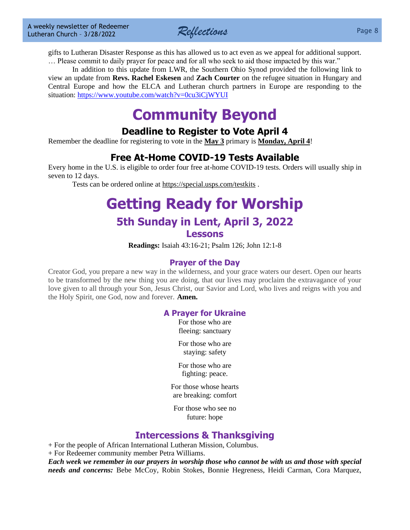*Reflections* Page 8

gifts to Lutheran Disaster Response as this has allowed us to act even as we appeal for additional support. … Please commit to daily prayer for peace and for all who seek to aid those impacted by this war."

In addition to this update from LWR, the Southern Ohio Synod provided the following link to view an update from **Revs. Rachel Eskesen** and **Zach Courter** on the refugee situation in Hungary and Central Europe and how the ELCA and Lutheran church partners in Europe are responding to the situation:<https://www.youtube.com/watch?v=0cu3iCjWYUI>

## **Community Beyond**

## **Deadline to Register to Vote April 4**

Remember the deadline for registering to vote in the **May 3** primary is **Monday, April 4**!

## **Free At-Home COVID-19 Tests Available**

Every home in the U.S. is eligible to order four free at-home COVID-19 tests. Orders will usually ship in seven to 12 days.

Tests can be ordered online at<https://special.usps.com/testkits> .

## **[Getting Ready for W](file:///D:/Users/Marcene%20Mounts/Documents/2019%20REFLECTIONS/Vol.%2023-49%2012-9-2019%20Draft.docx%23GettingReadyforSunday)orship 5th Sunday in Lent, April 3, 2022 Lessons**

**Readings:** Isaiah 43:16-21; Psalm 126; John 12:1-8

### **Prayer of the Day**

Creator God, you prepare a new way in the wilderness, and your grace waters our desert. Open our hearts to be transformed by the new thing you are doing, that our lives may proclaim the extravagance of your love given to all through your Son, Jesus Christ, our Savior and Lord, who lives and reigns with you and the Holy Spirit, one God, now and forever. **Amen.**

#### **A Prayer for Ukraine**

For those who are fleeing: sanctuary

For those who are staying: safety

For those who are fighting: peace.

For those whose hearts are breaking: comfort

For those who see no future: hope

## **Intercessions & Thanksgiving**

+ For the people of African International Lutheran Mission, Columbus.

+ For Redeemer community member Petra Williams.

*Each week we remember in our prayers in worship those who cannot be with us and those with special needs and concerns:* Bebe McCoy, Robin Stokes, Bonnie Hegreness, Heidi Carman, Cora Marquez,